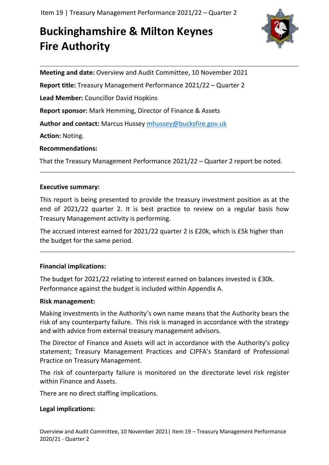# **Buckinghamshire & Milton Keynes Fire Authority**



**Meeting and date:** Overview and Audit Committee, 10 November 2021

**Report title:** Treasury Management Performance 2021/22 – Quarter 2

**Lead Member:** Councillor David Hopkins

**Report sponsor:** Mark Hemming, Director of Finance & Assets

**Author and contact:** Marcus Hussey [mhussey@bucksfire.gov.uk](mailto:mhussey@bucksfire.gov.uk)

**Action:** Noting.

## **Recommendations:**

That the Treasury Management Performance 2021/22 – Quarter 2 report be noted.

## **Executive summary:**

This report is being presented to provide the treasury investment position as at the end of 2021/22 quarter 2. It is best practice to review on a regular basis how Treasury Management activity is performing.

The accrued interest earned for 2021/22 quarter 2 is £20k, which is £5k higher than the budget for the same period.

## **Financial implications:**

The budget for 2021/22 relating to interest earned on balances invested is £30k. Performance against the budget is included within Appendix A.

## **Risk management:**

Making investments in the Authority's own name means that the Authority bears the risk of any counterparty failure. This risk is managed in accordance with the strategy and with advice from external treasury management advisors.

The Director of Finance and Assets will act in accordance with the Authority's policy statement; Treasury Management Practices and CIPFA's Standard of Professional Practice on Treasury Management.

The risk of counterparty failure is monitored on the directorate level risk register within Finance and Assets.

There are no direct staffing implications.

## **Legal implications:**

Overview and Audit Committee, 10 November 2021| Item 19 – Treasury Management Performance 2020/21 - Quarter 2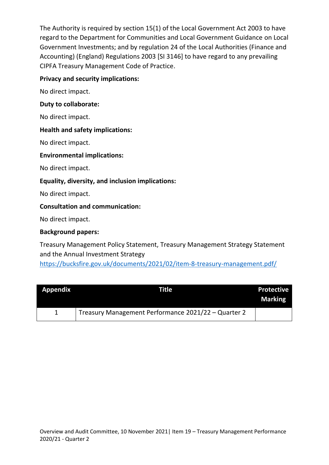The Authority is required by section 15(1) of the Local Government Act 2003 to have regard to the Department for Communities and Local Government Guidance on Local Government Investments; and by regulation 24 of the Local Authorities (Finance and Accounting) (England) Regulations 2003 [SI 3146] to have regard to any prevailing CIPFA Treasury Management Code of Practice.

## **Privacy and security implications:**

No direct impact.

#### **Duty to collaborate:**

No direct impact.

#### **Health and safety implications:**

No direct impact.

#### **Environmental implications:**

No direct impact.

#### **Equality, diversity, and inclusion implications:**

No direct impact.

#### **Consultation and communication:**

No direct impact.

#### **Background papers:**

Treasury Management Policy Statement, Treasury Management Strategy Statement and the Annual Investment Strategy <https://bucksfire.gov.uk/documents/2021/02/item-8-treasury-management.pdf/>

| <b>Appendix</b> | <b>Title</b>                                        | <b>Protective</b><br><b>Marking</b> |
|-----------------|-----------------------------------------------------|-------------------------------------|
|                 | Treasury Management Performance 2021/22 - Quarter 2 |                                     |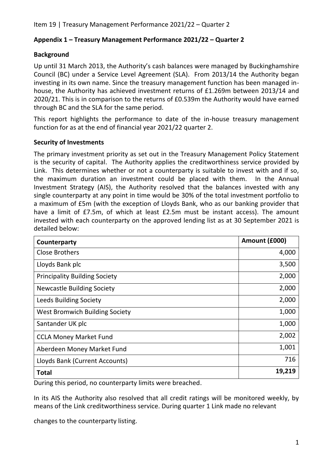# **Appendix 1 – Treasury Management Performance 2021/22 – Quarter 2**

# **Background**

Up until 31 March 2013, the Authority's cash balances were managed by Buckinghamshire Council (BC) under a Service Level Agreement (SLA). From 2013/14 the Authority began investing in its own name. Since the treasury management function has been managed inhouse, the Authority has achieved investment returns of £1.269m between 2013/14 and 2020/21. This is in comparison to the returns of £0.539m the Authority would have earned through BC and the SLA for the same period.

This report highlights the performance to date of the in-house treasury management function for as at the end of financial year 2021/22 quarter 2.

# **Security of Investments**

The primary investment priority as set out in the Treasury Management Policy Statement is the security of capital. The Authority applies the creditworthiness service provided by Link. This determines whether or not a counterparty is suitable to invest with and if so, the maximum duration an investment could be placed with them. In the Annual Investment Strategy (AIS), the Authority resolved that the balances invested with any single counterparty at any point in time would be 30% of the total investment portfolio to a maximum of £5m (with the exception of Lloyds Bank, who as our banking provider that have a limit of £7.5m, of which at least £2.5m must be instant access). The amount invested with each counterparty on the approved lending list as at 30 September 2021 is detailed below:

| Counterparty                          | Amount (£000) |
|---------------------------------------|---------------|
| <b>Close Brothers</b>                 | 4,000         |
| Lloyds Bank plc                       | 3,500         |
| <b>Principality Building Society</b>  | 2,000         |
| <b>Newcastle Building Society</b>     | 2,000         |
| <b>Leeds Building Society</b>         | 2,000         |
| <b>West Bromwich Building Society</b> | 1,000         |
| Santander UK plc                      | 1,000         |
| <b>CCLA Money Market Fund</b>         | 2,002         |
| Aberdeen Money Market Fund            | 1,001         |
| Lloyds Bank (Current Accounts)        | 716           |
| <b>Total</b>                          | 19,219        |

During this period, no counterparty limits were breached.

In its AIS the Authority also resolved that all credit ratings will be monitored weekly, by means of the Link creditworthiness service. During quarter 1 Link made no relevant

changes to the counterparty listing.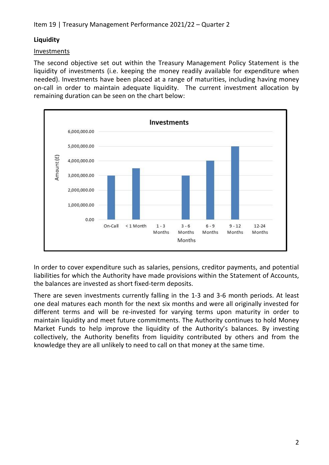# **Liquidity**

# Investments

The second objective set out within the Treasury Management Policy Statement is the liquidity of investments (i.e. keeping the money readily available for expenditure when needed). Investments have been placed at a range of maturities, including having money on-call in order to maintain adequate liquidity. The current investment allocation by remaining duration can be seen on the chart below:



In order to cover expenditure such as salaries, pensions, creditor payments, and potential liabilities for which the Authority have made provisions within the Statement of Accounts, the balances are invested as short fixed-term deposits.

There are seven investments currently falling in the 1-3 and 3-6 month periods. At least one deal matures each month for the next six months and were all originally invested for different terms and will be re-invested for varying terms upon maturity in order to maintain liquidity and meet future commitments. The Authority continues to hold Money Market Funds to help improve the liquidity of the Authority's balances. By investing collectively, the Authority benefits from liquidity contributed by others and from the knowledge they are all unlikely to need to call on that money at the same time.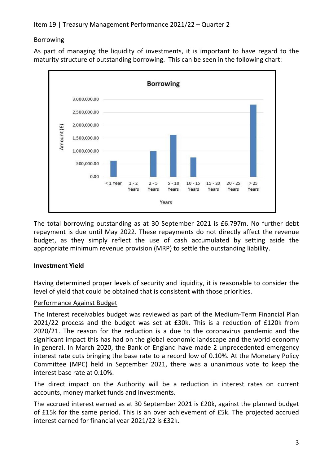## Borrowing

As part of managing the liquidity of investments, it is important to have regard to the maturity structure of outstanding borrowing. This can be seen in the following chart:



The total borrowing outstanding as at 30 September 2021 is £6.797m. No further debt repayment is due until May 2022. These repayments do not directly affect the revenue budget, as they simply reflect the use of cash accumulated by setting aside the appropriate minimum revenue provision (MRP) to settle the outstanding liability.

# **Investment Yield**

Having determined proper levels of security and liquidity, it is reasonable to consider the level of yield that could be obtained that is consistent with those priorities.

## Performance Against Budget

The Interest receivables budget was reviewed as part of the Medium-Term Financial Plan 2021/22 process and the budget was set at £30k. This is a reduction of £120k from 2020/21. The reason for the reduction is a due to the coronavirus pandemic and the significant impact this has had on the global economic landscape and the world economy in general. In March 2020, the Bank of England have made 2 unprecedented emergency interest rate cuts bringing the base rate to a record low of 0.10%. At the Monetary Policy Committee (MPC) held in September 2021, there was a unanimous vote to keep the interest base rate at 0.10%.

The direct impact on the Authority will be a reduction in interest rates on current accounts, money market funds and investments.

The accrued interest earned as at 30 September 2021 is £20k, against the planned budget of £15k for the same period. This is an over achievement of £5k. The projected accrued interest earned for financial year 2021/22 is £32k.